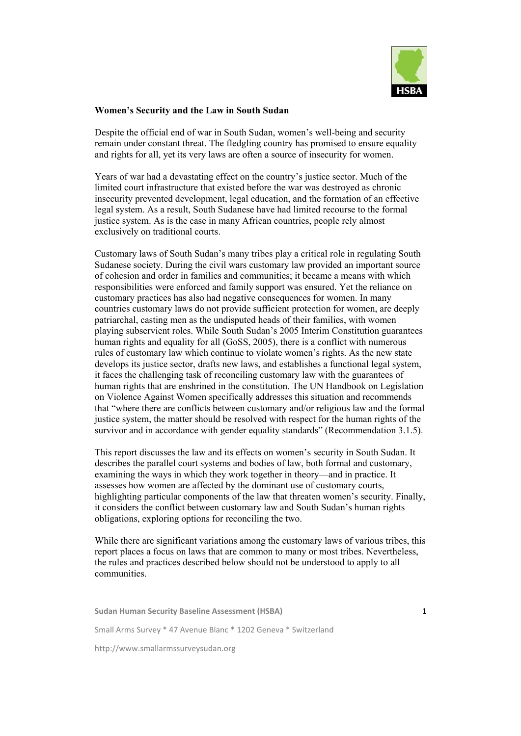

## **Women's Security and the Law in South Sudan**

Despite the official end of war in South Sudan, women's well-being and security remain under constant threat. The fledgling country has promised to ensure equality and rights for all, yet its very laws are often a source of insecurity for women.

Years of war had a devastating effect on the country's justice sector. Much of the limited court infrastructure that existed before the war was destroyed as chronic insecurity prevented development, legal education, and the formation of an effective legal system. As a result, South Sudanese have had limited recourse to the formal justice system. As is the case in many African countries, people rely almost exclusively on traditional courts.

Customary laws of South Sudan's many tribes play a critical role in regulating South Sudanese society. During the civil wars customary law provided an important source of cohesion and order in families and communities; it became a means with which responsibilities were enforced and family support was ensured. Yet the reliance on customary practices has also had negative consequences for women. In many countries customary laws do not provide sufficient protection for women, are deeply patriarchal, casting men as the undisputed heads of their families, with women playing subservient roles. While South Sudan's 2005 Interim Constitution guarantees human rights and equality for all (GoSS, 2005), there is a conflict with numerous rules of customary law which continue to violate women's rights. As the new state develops its justice sector, drafts new laws, and establishes a functional legal system, it faces the challenging task of reconciling customary law with the guarantees of human rights that are enshrined in the constitution. The UN Handbook on Legislation on Violence Against Women specifically addresses this situation and recommends that "where there are conflicts between customary and/or religious law and the formal justice system, the matter should be resolved with respect for the human rights of the survivor and in accordance with gender equality standards" (Recommendation 3.1.5).

This report discusses the law and its effects on women's security in South Sudan. It describes the parallel court systems and bodies of law, both formal and customary, examining the ways in which they work together in theory—and in practice. It assesses how women are affected by the dominant use of customary courts, highlighting particular components of the law that threaten women's security. Finally, it considers the conflict between customary law and South Sudan's human rights obligations, exploring options for reconciling the two.

While there are significant variations among the customary laws of various tribes, this report places a focus on laws that are common to many or most tribes. Nevertheless, the rules and practices described below should not be understood to apply to all communities.

**Sudan Human Security Baseline Assessment (HSBA)** Small Arms Survey \* 47 Avenue Blanc \* 1202 Geneva \* Switzerland http://www.smallarmssurveysudan.org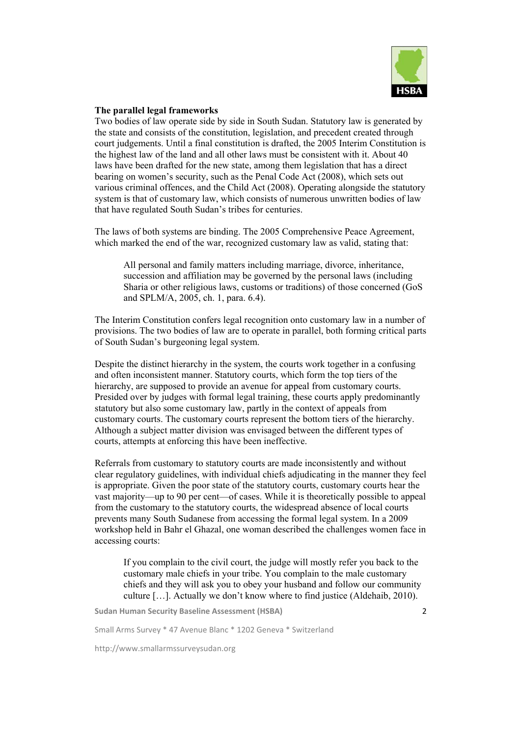

# **The parallel legal frameworks**

Two bodies of law operate side by side in South Sudan. Statutory law is generated by the state and consists of the constitution, legislation, and precedent created through court judgements. Until a final constitution is drafted, the 2005 Interim Constitution is the highest law of the land and all other laws must be consistent with it. About 40 laws have been drafted for the new state, among them legislation that has a direct bearing on women's security, such as the Penal Code Act (2008), which sets out various criminal offences, and the Child Act (2008). Operating alongside the statutory system is that of customary law, which consists of numerous unwritten bodies of law that have regulated South Sudan's tribes for centuries.

The laws of both systems are binding. The 2005 Comprehensive Peace Agreement, which marked the end of the war, recognized customary law as valid, stating that:

All personal and family matters including marriage, divorce, inheritance, succession and affiliation may be governed by the personal laws (including Sharia or other religious laws, customs or traditions) of those concerned (GoS and SPLM/A, 2005, ch. 1, para. 6.4).

The Interim Constitution confers legal recognition onto customary law in a number of provisions. The two bodies of law are to operate in parallel, both forming critical parts of South Sudan's burgeoning legal system.

Despite the distinct hierarchy in the system, the courts work together in a confusing and often inconsistent manner. Statutory courts, which form the top tiers of the hierarchy, are supposed to provide an avenue for appeal from customary courts. Presided over by judges with formal legal training, these courts apply predominantly statutory but also some customary law, partly in the context of appeals from customary courts. The customary courts represent the bottom tiers of the hierarchy. Although a subject matter division was envisaged between the different types of courts, attempts at enforcing this have been ineffective.

Referrals from customary to statutory courts are made inconsistently and without clear regulatory guidelines, with individual chiefs adjudicating in the manner they feel is appropriate. Given the poor state of the statutory courts, customary courts hear the vast majority—up to 90 per cent—of cases. While it is theoretically possible to appeal from the customary to the statutory courts, the widespread absence of local courts prevents many South Sudanese from accessing the formal legal system. In a 2009 workshop held in Bahr el Ghazal, one woman described the challenges women face in accessing courts:

If you complain to the civil court, the judge will mostly refer you back to the customary male chiefs in your tribe. You complain to the male customary chiefs and they will ask you to obey your husband and follow our community culture […]. Actually we don't know where to find justice (Aldehaib, 2010).

**Sudan Human Security Baseline Assessment (HSBA)**

Small Arms Survey \* 47 Avenue Blanc \* 1202 Geneva \* Switzerland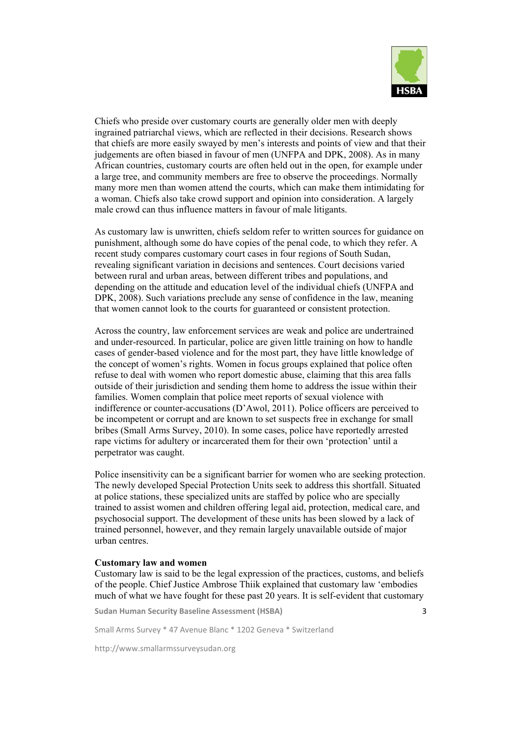

3

Chiefs who preside over customary courts are generally older men with deeply ingrained patriarchal views, which are reflected in their decisions. Research shows that chiefs are more easily swayed by men's interests and points of view and that their judgements are often biased in favour of men (UNFPA and DPK, 2008). As in many African countries, customary courts are often held out in the open, for example under a large tree, and community members are free to observe the proceedings. Normally many more men than women attend the courts, which can make them intimidating for a woman. Chiefs also take crowd support and opinion into consideration. A largely male crowd can thus influence matters in favour of male litigants.

As customary law is unwritten, chiefs seldom refer to written sources for guidance on punishment, although some do have copies of the penal code, to which they refer. A recent study compares customary court cases in four regions of South Sudan, revealing significant variation in decisions and sentences. Court decisions varied between rural and urban areas, between different tribes and populations, and depending on the attitude and education level of the individual chiefs (UNFPA and DPK, 2008). Such variations preclude any sense of confidence in the law, meaning that women cannot look to the courts for guaranteed or consistent protection.

Across the country, law enforcement services are weak and police are undertrained and under-resourced. In particular, police are given little training on how to handle cases of gender-based violence and for the most part, they have little knowledge of the concept of women's rights. Women in focus groups explained that police often refuse to deal with women who report domestic abuse, claiming that this area falls outside of their jurisdiction and sending them home to address the issue within their families. Women complain that police meet reports of sexual violence with indifference or counter-accusations (D'Awol, 2011). Police officers are perceived to be incompetent or corrupt and are known to set suspects free in exchange for small bribes (Small Arms Survey, 2010). In some cases, police have reportedly arrested rape victims for adultery or incarcerated them for their own 'protection' until a perpetrator was caught.

Police insensitivity can be a significant barrier for women who are seeking protection. The newly developed Special Protection Units seek to address this shortfall. Situated at police stations, these specialized units are staffed by police who are specially trained to assist women and children offering legal aid, protection, medical care, and psychosocial support. The development of these units has been slowed by a lack of trained personnel, however, and they remain largely unavailable outside of major urban centres.

#### **Customary law and women**

Customary law is said to be the legal expression of the practices, customs, and beliefs of the people. Chief Justice Ambrose Thiik explained that customary law 'embodies much of what we have fought for these past 20 years. It is self-evident that customary

**Sudan Human Security Baseline Assessment (HSBA)**

Small Arms Survey \* 47 Avenue Blanc \* 1202 Geneva \* Switzerland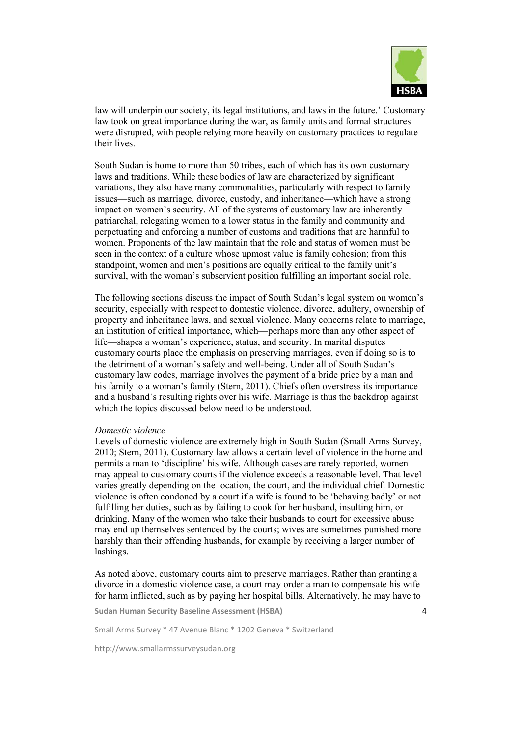

law will underpin our society, its legal institutions, and laws in the future.' Customary law took on great importance during the war, as family units and formal structures were disrupted, with people relying more heavily on customary practices to regulate their lives.

South Sudan is home to more than 50 tribes, each of which has its own customary laws and traditions. While these bodies of law are characterized by significant variations, they also have many commonalities, particularly with respect to family issues—such as marriage, divorce, custody, and inheritance—which have a strong impact on women's security. All of the systems of customary law are inherently patriarchal, relegating women to a lower status in the family and community and perpetuating and enforcing a number of customs and traditions that are harmful to women. Proponents of the law maintain that the role and status of women must be seen in the context of a culture whose upmost value is family cohesion; from this standpoint, women and men's positions are equally critical to the family unit's survival, with the woman's subservient position fulfilling an important social role.

The following sections discuss the impact of South Sudan's legal system on women's security, especially with respect to domestic violence, divorce, adultery, ownership of property and inheritance laws, and sexual violence. Many concerns relate to marriage, an institution of critical importance, which—perhaps more than any other aspect of life—shapes a woman's experience, status, and security. In marital disputes customary courts place the emphasis on preserving marriages, even if doing so is to the detriment of a woman's safety and well-being. Under all of South Sudan's customary law codes, marriage involves the payment of a bride price by a man and his family to a woman's family (Stern, 2011). Chiefs often overstress its importance and a husband's resulting rights over his wife. Marriage is thus the backdrop against which the topics discussed below need to be understood.

#### *Domestic violence*

Levels of domestic violence are extremely high in South Sudan (Small Arms Survey, 2010; Stern, 2011). Customary law allows a certain level of violence in the home and permits a man to 'discipline' his wife. Although cases are rarely reported, women may appeal to customary courts if the violence exceeds a reasonable level. That level varies greatly depending on the location, the court, and the individual chief. Domestic violence is often condoned by a court if a wife is found to be 'behaving badly' or not fulfilling her duties, such as by failing to cook for her husband, insulting him, or drinking. Many of the women who take their husbands to court for excessive abuse may end up themselves sentenced by the courts; wives are sometimes punished more harshly than their offending husbands, for example by receiving a larger number of lashings.

As noted above, customary courts aim to preserve marriages. Rather than granting a divorce in a domestic violence case, a court may order a man to compensate his wife for harm inflicted, such as by paying her hospital bills. Alternatively, he may have to

**Sudan Human Security Baseline Assessment (HSBA)**

Small Arms Survey \* 47 Avenue Blanc \* 1202 Geneva \* Switzerland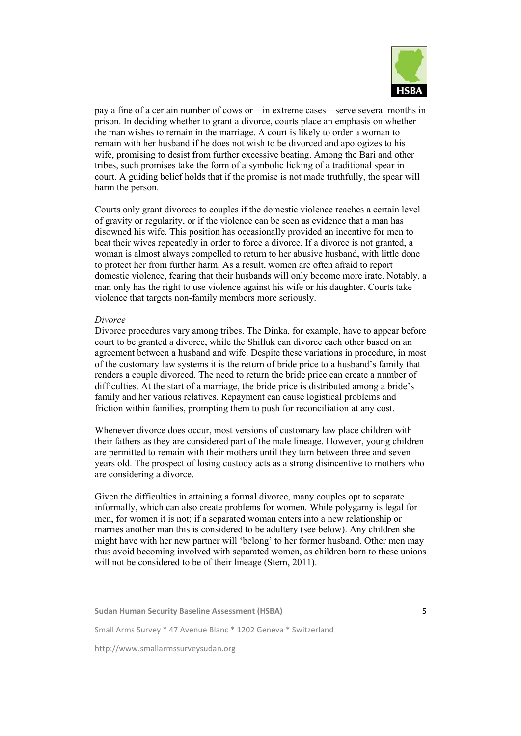

pay a fine of a certain number of cows or—in extreme cases—serve several months in prison. In deciding whether to grant a divorce, courts place an emphasis on whether the man wishes to remain in the marriage. A court is likely to order a woman to remain with her husband if he does not wish to be divorced and apologizes to his wife, promising to desist from further excessive beating. Among the Bari and other tribes, such promises take the form of a symbolic licking of a traditional spear in court. A guiding belief holds that if the promise is not made truthfully, the spear will harm the person.

Courts only grant divorces to couples if the domestic violence reaches a certain level of gravity or regularity, or if the violence can be seen as evidence that a man has disowned his wife. This position has occasionally provided an incentive for men to beat their wives repeatedly in order to force a divorce. If a divorce is not granted, a woman is almost always compelled to return to her abusive husband, with little done to protect her from further harm. As a result, women are often afraid to report domestic violence, fearing that their husbands will only become more irate. Notably, a man only has the right to use violence against his wife or his daughter. Courts take violence that targets non-family members more seriously.

#### *Divorce*

Divorce procedures vary among tribes. The Dinka, for example, have to appear before court to be granted a divorce, while the Shilluk can divorce each other based on an agreement between a husband and wife. Despite these variations in procedure, in most of the customary law systems it is the return of bride price to a husband's family that renders a couple divorced. The need to return the bride price can create a number of difficulties. At the start of a marriage, the bride price is distributed among a bride's family and her various relatives. Repayment can cause logistical problems and friction within families, prompting them to push for reconciliation at any cost.

Whenever divorce does occur, most versions of customary law place children with their fathers as they are considered part of the male lineage. However, young children are permitted to remain with their mothers until they turn between three and seven years old. The prospect of losing custody acts as a strong disincentive to mothers who are considering a divorce.

Given the difficulties in attaining a formal divorce, many couples opt to separate informally, which can also create problems for women. While polygamy is legal for men, for women it is not; if a separated woman enters into a new relationship or marries another man this is considered to be adultery (see below). Any children she might have with her new partner will 'belong' to her former husband. Other men may thus avoid becoming involved with separated women, as children born to these unions will not be considered to be of their lineage (Stern, 2011).

**Sudan Human Security Baseline Assessment (HSBA)** Small Arms Survey \* 47 Avenue Blanc \* 1202 Geneva \* Switzerland http://www.smallarmssurveysudan.org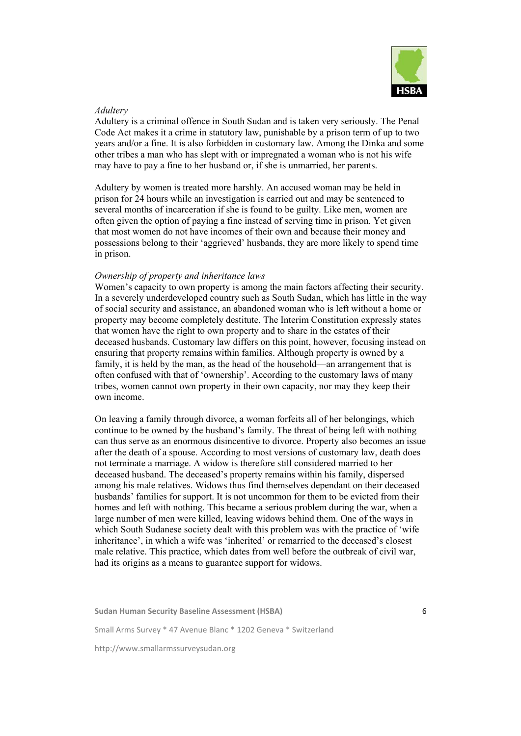

## *Adultery*

Adultery is a criminal offence in South Sudan and is taken very seriously. The Penal Code Act makes it a crime in statutory law, punishable by a prison term of up to two years and/or a fine. It is also forbidden in customary law. Among the Dinka and some other tribes a man who has slept with or impregnated a woman who is not his wife may have to pay a fine to her husband or, if she is unmarried, her parents.

Adultery by women is treated more harshly. An accused woman may be held in prison for 24 hours while an investigation is carried out and may be sentenced to several months of incarceration if she is found to be guilty. Like men, women are often given the option of paying a fine instead of serving time in prison. Yet given that most women do not have incomes of their own and because their money and possessions belong to their 'aggrieved' husbands, they are more likely to spend time in prison.

## *Ownership of property and inheritance laws*

Women's capacity to own property is among the main factors affecting their security. In a severely underdeveloped country such as South Sudan, which has little in the way of social security and assistance, an abandoned woman who is left without a home or property may become completely destitute. The Interim Constitution expressly states that women have the right to own property and to share in the estates of their deceased husbands. Customary law differs on this point, however, focusing instead on ensuring that property remains within families. Although property is owned by a family, it is held by the man, as the head of the household—an arrangement that is often confused with that of 'ownership'. According to the customary laws of many tribes, women cannot own property in their own capacity, nor may they keep their own income.

On leaving a family through divorce, a woman forfeits all of her belongings, which continue to be owned by the husband's family. The threat of being left with nothing can thus serve as an enormous disincentive to divorce. Property also becomes an issue after the death of a spouse. According to most versions of customary law, death does not terminate a marriage. A widow is therefore still considered married to her deceased husband. The deceased's property remains within his family, dispersed among his male relatives. Widows thus find themselves dependant on their deceased husbands' families for support. It is not uncommon for them to be evicted from their homes and left with nothing. This became a serious problem during the war, when a large number of men were killed, leaving widows behind them. One of the ways in which South Sudanese society dealt with this problem was with the practice of 'wife inheritance', in which a wife was 'inherited' or remarried to the deceased's closest male relative. This practice, which dates from well before the outbreak of civil war, had its origins as a means to guarantee support for widows.

**Sudan Human Security Baseline Assessment (HSBA)** Small Arms Survey \* 47 Avenue Blanc \* 1202 Geneva \* Switzerland http://www.smallarmssurveysudan.org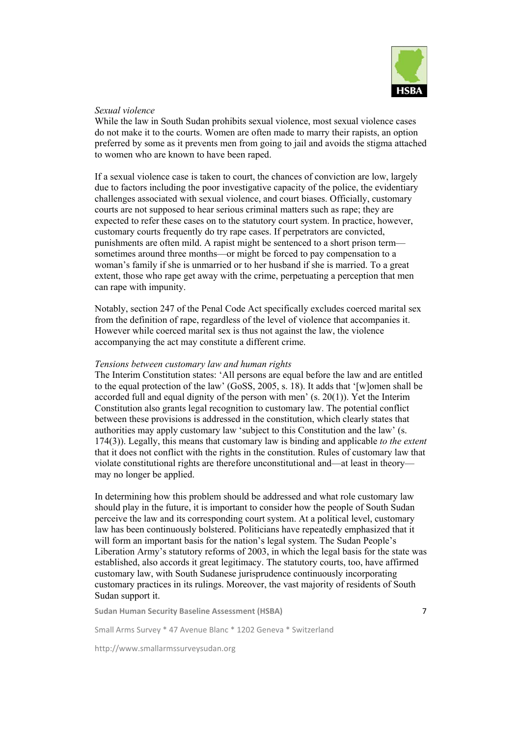

# *Sexual violence*

While the law in South Sudan prohibits sexual violence, most sexual violence cases do not make it to the courts. Women are often made to marry their rapists, an option preferred by some as it prevents men from going to jail and avoids the stigma attached to women who are known to have been raped.

If a sexual violence case is taken to court, the chances of conviction are low, largely due to factors including the poor investigative capacity of the police, the evidentiary challenges associated with sexual violence, and court biases. Officially, customary courts are not supposed to hear serious criminal matters such as rape; they are expected to refer these cases on to the statutory court system. In practice, however, customary courts frequently do try rape cases. If perpetrators are convicted, punishments are often mild. A rapist might be sentenced to a short prison term sometimes around three months—or might be forced to pay compensation to a woman's family if she is unmarried or to her husband if she is married. To a great extent, those who rape get away with the crime, perpetuating a perception that men can rape with impunity.

Notably, section 247 of the Penal Code Act specifically excludes coerced marital sex from the definition of rape, regardless of the level of violence that accompanies it. However while coerced marital sex is thus not against the law, the violence accompanying the act may constitute a different crime.

#### *Tensions between customary law and human rights*

The Interim Constitution states: 'All persons are equal before the law and are entitled to the equal protection of the law' (GoSS, 2005, s. 18). It adds that '[w]omen shall be accorded full and equal dignity of the person with men' (s. 20(1)). Yet the Interim Constitution also grants legal recognition to customary law. The potential conflict between these provisions is addressed in the constitution, which clearly states that authorities may apply customary law 'subject to this Constitution and the law' (s. 174(3)). Legally, this means that customary law is binding and applicable *to the extent*  that it does not conflict with the rights in the constitution. Rules of customary law that violate constitutional rights are therefore unconstitutional and—at least in theory may no longer be applied.

In determining how this problem should be addressed and what role customary law should play in the future, it is important to consider how the people of South Sudan perceive the law and its corresponding court system. At a political level, customary law has been continuously bolstered. Politicians have repeatedly emphasized that it will form an important basis for the nation's legal system. The Sudan People's Liberation Army's statutory reforms of 2003, in which the legal basis for the state was established, also accords it great legitimacy. The statutory courts, too, have affirmed customary law, with South Sudanese jurisprudence continuously incorporating customary practices in its rulings. Moreover, the vast majority of residents of South Sudan support it.

**Sudan Human Security Baseline Assessment (HSBA)**

Small Arms Survey \* 47 Avenue Blanc \* 1202 Geneva \* Switzerland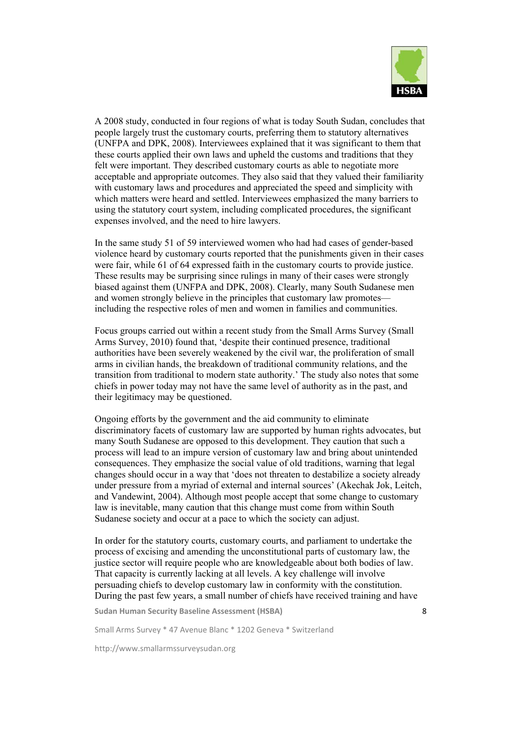

A 2008 study, conducted in four regions of what is today South Sudan, concludes that people largely trust the customary courts, preferring them to statutory alternatives (UNFPA and DPK, 2008). Interviewees explained that it was significant to them that these courts applied their own laws and upheld the customs and traditions that they felt were important. They described customary courts as able to negotiate more acceptable and appropriate outcomes. They also said that they valued their familiarity with customary laws and procedures and appreciated the speed and simplicity with which matters were heard and settled. Interviewees emphasized the many barriers to using the statutory court system, including complicated procedures, the significant expenses involved, and the need to hire lawyers.

In the same study 51 of 59 interviewed women who had had cases of gender-based violence heard by customary courts reported that the punishments given in their cases were fair, while 61 of 64 expressed faith in the customary courts to provide justice. These results may be surprising since rulings in many of their cases were strongly biased against them (UNFPA and DPK, 2008). Clearly, many South Sudanese men and women strongly believe in the principles that customary law promotes including the respective roles of men and women in families and communities.

Focus groups carried out within a recent study from the Small Arms Survey (Small Arms Survey, 2010) found that, 'despite their continued presence, traditional authorities have been severely weakened by the civil war, the proliferation of small arms in civilian hands, the breakdown of traditional community relations, and the transition from traditional to modern state authority.' The study also notes that some chiefs in power today may not have the same level of authority as in the past, and their legitimacy may be questioned.

Ongoing efforts by the government and the aid community to eliminate discriminatory facets of customary law are supported by human rights advocates, but many South Sudanese are opposed to this development. They caution that such a process will lead to an impure version of customary law and bring about unintended consequences. They emphasize the social value of old traditions, warning that legal changes should occur in a way that 'does not threaten to destabilize a society already under pressure from a myriad of external and internal sources' (Akechak Jok, Leitch, and Vandewint, 2004). Although most people accept that some change to customary law is inevitable, many caution that this change must come from within South Sudanese society and occur at a pace to which the society can adjust.

In order for the statutory courts, customary courts, and parliament to undertake the process of excising and amending the unconstitutional parts of customary law, the justice sector will require people who are knowledgeable about both bodies of law. That capacity is currently lacking at all levels. A key challenge will involve persuading chiefs to develop customary law in conformity with the constitution. During the past few years, a small number of chiefs have received training and have

**Sudan Human Security Baseline Assessment (HSBA)**

Small Arms Survey \* 47 Avenue Blanc \* 1202 Geneva \* Switzerland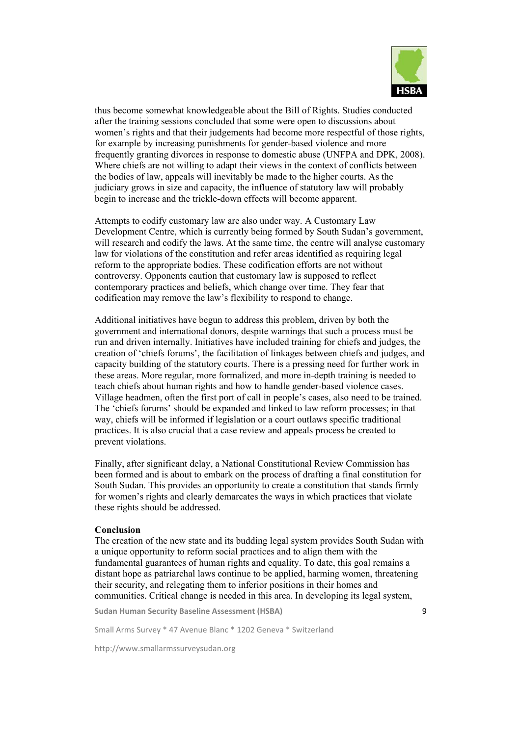

thus become somewhat knowledgeable about the Bill of Rights. Studies conducted after the training sessions concluded that some were open to discussions about women's rights and that their judgements had become more respectful of those rights, for example by increasing punishments for gender-based violence and more frequently granting divorces in response to domestic abuse (UNFPA and DPK, 2008). Where chiefs are not willing to adapt their views in the context of conflicts between the bodies of law, appeals will inevitably be made to the higher courts. As the judiciary grows in size and capacity, the influence of statutory law will probably begin to increase and the trickle-down effects will become apparent.

Attempts to codify customary law are also under way. A Customary Law Development Centre, which is currently being formed by South Sudan's government, will research and codify the laws. At the same time, the centre will analyse customary law for violations of the constitution and refer areas identified as requiring legal reform to the appropriate bodies. These codification efforts are not without controversy. Opponents caution that customary law is supposed to reflect contemporary practices and beliefs, which change over time. They fear that codification may remove the law's flexibility to respond to change.

Additional initiatives have begun to address this problem, driven by both the government and international donors, despite warnings that such a process must be run and driven internally. Initiatives have included training for chiefs and judges, the creation of 'chiefs forums', the facilitation of linkages between chiefs and judges, and capacity building of the statutory courts. There is a pressing need for further work in these areas. More regular, more formalized, and more in-depth training is needed to teach chiefs about human rights and how to handle gender-based violence cases. Village headmen, often the first port of call in people's cases, also need to be trained. The 'chiefs forums' should be expanded and linked to law reform processes; in that way, chiefs will be informed if legislation or a court outlaws specific traditional practices. It is also crucial that a case review and appeals process be created to prevent violations.

Finally, after significant delay, a National Constitutional Review Commission has been formed and is about to embark on the process of drafting a final constitution for South Sudan. This provides an opportunity to create a constitution that stands firmly for women's rights and clearly demarcates the ways in which practices that violate these rights should be addressed.

#### **Conclusion**

The creation of the new state and its budding legal system provides South Sudan with a unique opportunity to reform social practices and to align them with the fundamental guarantees of human rights and equality. To date, this goal remains a distant hope as patriarchal laws continue to be applied, harming women, threatening their security, and relegating them to inferior positions in their homes and communities. Critical change is needed in this area. In developing its legal system,

**Sudan Human Security Baseline Assessment (HSBA)**

Small Arms Survey \* 47 Avenue Blanc \* 1202 Geneva \* Switzerland